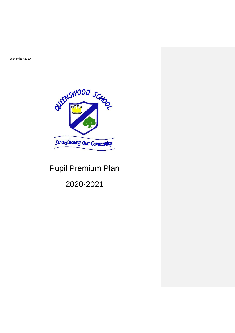September 2020



## Pupil Premium Plan

2020-2021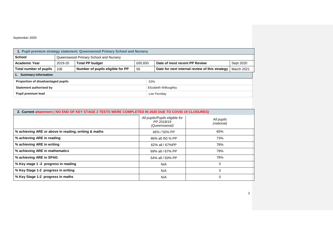## September 2020

| 1. Pupil premium strategy statement: Queenswood Primary School and Nursery |                                                                                                 |                                                                                 |  |     |  |                   |  |
|----------------------------------------------------------------------------|-------------------------------------------------------------------------------------------------|---------------------------------------------------------------------------------|--|-----|--|-------------------|--|
| <b>School</b>                                                              | Queenswood Primary School and Nursery                                                           |                                                                                 |  |     |  |                   |  |
| <b>Academic Year</b>                                                       | 2019-20                                                                                         | <b>Total PP budget</b><br>Date of most recent PP Review<br>£65,650<br>Sept 2020 |  |     |  |                   |  |
| Total number of pupils                                                     | Date for next internal review of this strategy<br>Number of pupils eligible for PP<br>106<br>56 |                                                                                 |  |     |  | <b>March 2021</b> |  |
| <b>Summary information</b>                                                 |                                                                                                 |                                                                                 |  |     |  |                   |  |
| Proportion of disadvantaged pupils                                         |                                                                                                 |                                                                                 |  | 53% |  |                   |  |
| Statement authorised by<br>Elizabeth Willoughby                            |                                                                                                 |                                                                                 |  |     |  |                   |  |
| Pupil premium lead<br>Lee Ferriday                                         |                                                                                                 |                                                                                 |  |     |  |                   |  |

| 2. Current attainment ( NO END OF KEY STAGE 2 TESTS WERE COMPLETED IN 2020 DUE TO COVID 19 CLOSURES) |                                                              |                          |  |  |  |
|------------------------------------------------------------------------------------------------------|--------------------------------------------------------------|--------------------------|--|--|--|
|                                                                                                      | All pupils/Pupils eligible for<br>PP 2018/19<br>(Queenswood) | All pupils<br>(national) |  |  |  |
| % achieving ARE or above in reading, writing & maths                                                 | 46% / 50% PP                                                 | 65%                      |  |  |  |
| % achieving ARE in reading                                                                           | 46% all /50 % PP                                             | 73%                      |  |  |  |
| % achieving ARE in writing                                                                           | 62% all / 67%PP                                              | 78%                      |  |  |  |
| % achieving ARE in mathematics                                                                       | 69% all / 67% PP                                             | 79%                      |  |  |  |
| % achieving ARE in SPAG                                                                              | 54% all / 50% PP                                             | 78%                      |  |  |  |
| % Key stage 1 -2 progress in reading                                                                 | N/A                                                          | 0                        |  |  |  |
| % Key Stage 1-2 progress in writing                                                                  | N/A                                                          | $\Omega$                 |  |  |  |
| % Key Stage 1-2 progress in maths                                                                    | N/A                                                          | 0                        |  |  |  |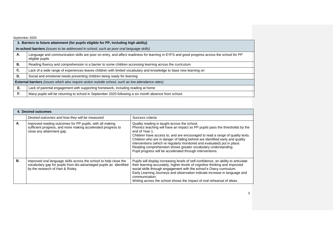| September 2020 |                                                                                                                                                              |
|----------------|--------------------------------------------------------------------------------------------------------------------------------------------------------------|
|                | 3. Barriers to future attainment (for pupils eligible for PP, including high ability)                                                                        |
|                | In-school barriers <i>(issues to be addressed in school, such as poor oral language skills)</i>                                                              |
| А.             | Language and communication skills are poor on entry, and affect readiness for learning in EYFS and good progress across the school for PP<br>eligible pupils |
| В.             | Reading fluency and comprehension is a barrier to some children accessing learning across the curriculum                                                     |
| C.             | Lack of a wide range of experiences leaves children with limited vocabulary and knowledge to base new learning on                                            |
| D.             | Social and emotional needs preventing children being ready for learning                                                                                      |
|                | <b>External barriers</b> (issues which also require action outside school, such as low attendance rates)                                                     |
| Е.             | Lack of parental engagement with supporting homework, including reading at home                                                                              |
| F.,            | Many pupils will be returning to school in September 2020 following a six month absence from school.                                                         |

|    | 4. Desired outcomes                                                                                                                                                          |                                                                                                                                                                                                                                                                                                                                                                                                                                                                                                                            |  |  |  |  |
|----|------------------------------------------------------------------------------------------------------------------------------------------------------------------------------|----------------------------------------------------------------------------------------------------------------------------------------------------------------------------------------------------------------------------------------------------------------------------------------------------------------------------------------------------------------------------------------------------------------------------------------------------------------------------------------------------------------------------|--|--|--|--|
|    | Desired outcomes and how they will be measured                                                                                                                               | Success criteria                                                                                                                                                                                                                                                                                                                                                                                                                                                                                                           |  |  |  |  |
| А. | Improved reading outcomes for PP pupils, with all making<br>sufficient progress, and more making accelerated progress to<br>close any attainment gap.                        | Quality reading is taught across the school.<br>Phonics teaching will have an impact so PP pupils pass the thresholds by the<br>end of Year 1.<br>Children have access to, and are encouraged to read a range of quality texts.<br>Children who are in danger of falling behind are identified early and quality<br>interventions (which re regularly monitored and evaluated) put in place.<br>Reading comprehension shows greater vocabulary understanding.<br>Pupil progress will be accelerated through interventions. |  |  |  |  |
| В. | Improved oral language skills across the school to help close the<br>vocabulary gap for pupils from dis-advantaged pupils as identified<br>by the research of Hart & Risley. | Pupils will display increasing levels of self-confidence, an ability to articulate<br>their learning accurately, higher levels of cognitive thinking and improved<br>social skills through engagement with the school's Oracy curriculum.<br>Early Learning Journeys and observation indicate increase in language and<br>communication:<br>Writing across the school shows the impact of oral rehearsal of ideas.                                                                                                         |  |  |  |  |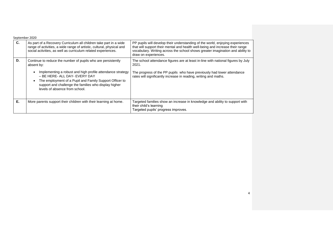|    | September 2020                                                                                                                                                                                                                                                              |                                                                                                                                                                                                                                                                          |
|----|-----------------------------------------------------------------------------------------------------------------------------------------------------------------------------------------------------------------------------------------------------------------------------|--------------------------------------------------------------------------------------------------------------------------------------------------------------------------------------------------------------------------------------------------------------------------|
| C. | As part of a Recovery Curriculum all children take part in a wide<br>range of activities, a wide range of artistic, cultural, physical and<br>social activities, as well as curriculum related experiences.                                                                 | PP pupils will develop their understanding of the world, enjoying experiences<br>that will support their mental and health well-being and increase their range<br>vocabulary. Writing across the school shows greater imagination and ability to<br>draw on experiences. |
| D. | Continue to reduce the number of pupils who are persistently<br>absent by:                                                                                                                                                                                                  | The school attendance figures are at least in-line with national figures by July<br>2021.                                                                                                                                                                                |
|    | Implementing a robust and high profile attendance strategy<br>$\bullet$<br>– BE HERE- ALL DAY- EVERY DAY<br>The employment of a Pupil and Family Support Officer to<br>$\bullet$<br>support and challenge the families who display higher<br>levels of absence from school. | The progress of the PP pupils who have previously had lower attendance<br>rates will significantly increase in reading, writing and maths.                                                                                                                               |
| Е. | More parents support their children with their learning at home.                                                                                                                                                                                                            | Targeted families show an increase in knowledge and ability to support with<br>their child's learning<br>Targeted pupils' progress improves.                                                                                                                             |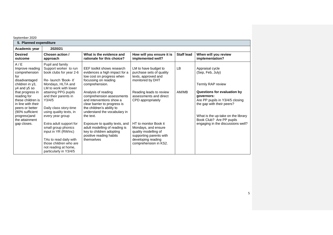| 5. Planned expenditure                                                                                                                                                                                                                                                  |                                                                                                                                                                                                                                                                                                                                                                                                                                                               |                                                                                                                                                                                                                                                                                                                                                                                                                                                                      |                                                                                                                                                                                                                                                                                                                         |                   |                                                                                                                                                                                                                                                                              |
|-------------------------------------------------------------------------------------------------------------------------------------------------------------------------------------------------------------------------------------------------------------------------|---------------------------------------------------------------------------------------------------------------------------------------------------------------------------------------------------------------------------------------------------------------------------------------------------------------------------------------------------------------------------------------------------------------------------------------------------------------|----------------------------------------------------------------------------------------------------------------------------------------------------------------------------------------------------------------------------------------------------------------------------------------------------------------------------------------------------------------------------------------------------------------------------------------------------------------------|-------------------------------------------------------------------------------------------------------------------------------------------------------------------------------------------------------------------------------------------------------------------------------------------------------------------------|-------------------|------------------------------------------------------------------------------------------------------------------------------------------------------------------------------------------------------------------------------------------------------------------------------|
| Academic year                                                                                                                                                                                                                                                           | 2020/21                                                                                                                                                                                                                                                                                                                                                                                                                                                       |                                                                                                                                                                                                                                                                                                                                                                                                                                                                      |                                                                                                                                                                                                                                                                                                                         |                   |                                                                                                                                                                                                                                                                              |
| <b>Desired</b><br>outcome                                                                                                                                                                                                                                               | Chosen action /<br>approach                                                                                                                                                                                                                                                                                                                                                                                                                                   | What is the evidence and<br>rationale for this choice?                                                                                                                                                                                                                                                                                                                                                                                                               | How will you ensure it is<br>implemented well?                                                                                                                                                                                                                                                                          | <b>Staff lead</b> | When will you review<br>implementation?                                                                                                                                                                                                                                      |
| A/E<br>Improve reading<br>comprehension<br>for<br>disadvantaged<br>children in y3,<br>y4 and y5 so<br>that progress in<br>reading for<br>these children is<br>in line with their<br>peers or better<br>(90% sufficient<br>progress)and<br>the attainment<br>gap closes. | Pupil and family<br>Support worker to run<br>book clubs for year 2-6<br>Re- launch 'Book- it'<br>Mondays, HLTA and<br>LM to work with lower<br>attaining PPG pupils<br>and their parents in<br>Y3/4/5<br>Daily class story-time<br>using quality texts, in<br>every year group<br>Extra adult support for<br>small group phonics<br>input in YR (RWInc)<br>TAs to read daily with<br>those children who are<br>not reading at home,<br>particularly in Y3/4/5 | EEF toolkit shows research<br>evidences a high impact for a<br>low cost on progress when<br>focussing on reading<br>comprehension.<br>Analysis of reading<br>comprehension assessments<br>and interventions show a<br>clear barrier to progress is<br>the children's ability to<br>understand the vocabulary in<br>the text.<br>Exposure to quality texts, and<br>adult modelling of reading is<br>key to children adopting<br>positive reading habits<br>themselves | LM to have budget to<br>purchase sets of quality<br>texts, approved and<br>monitored by DHT<br>Reading leads to review<br>assessments and direct<br>CPD appropriately<br>HT to monitor Book it<br>Mondays, and ensure<br>quality modelling of<br>supporting parents with<br>developing reading<br>comprehension in KS2. | LB<br>AM/MB       | Appraisal cycle<br>(Sep, Feb, July)<br>Termly RAP review<br>Questions for evaluation by<br>qovernors:<br>Are PP pupils in Y3/4/5 closing<br>the gap with their peers?<br>What is the up-take on the library<br>Book Club? Are PP pupils<br>engaging in the discussions well? |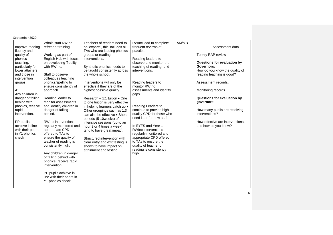| September 2020                                                                                                                                                                                                                                                                                                                                  |                                                                                                                                                                                                                                                                                                                                                                                                                                                                                                                                                                                                                                                                                              |                                                                                                                                                                                                                                                                                                                                                                                                                                                                                                                                                                                                                                                                                                                                                 |                                                                                                                                                                                                                                                                                                                                                                                                                                                                                                                                            |       |                                                                                                                                                                                                                                                                                                                                                            |  |  |
|-------------------------------------------------------------------------------------------------------------------------------------------------------------------------------------------------------------------------------------------------------------------------------------------------------------------------------------------------|----------------------------------------------------------------------------------------------------------------------------------------------------------------------------------------------------------------------------------------------------------------------------------------------------------------------------------------------------------------------------------------------------------------------------------------------------------------------------------------------------------------------------------------------------------------------------------------------------------------------------------------------------------------------------------------------|-------------------------------------------------------------------------------------------------------------------------------------------------------------------------------------------------------------------------------------------------------------------------------------------------------------------------------------------------------------------------------------------------------------------------------------------------------------------------------------------------------------------------------------------------------------------------------------------------------------------------------------------------------------------------------------------------------------------------------------------------|--------------------------------------------------------------------------------------------------------------------------------------------------------------------------------------------------------------------------------------------------------------------------------------------------------------------------------------------------------------------------------------------------------------------------------------------------------------------------------------------------------------------------------------------|-------|------------------------------------------------------------------------------------------------------------------------------------------------------------------------------------------------------------------------------------------------------------------------------------------------------------------------------------------------------------|--|--|
| Improve reading<br>fluency and<br>quality of<br>phonics<br>teaching,<br>particularly for<br>lower attainers<br>and those in<br>intervention<br>groups.<br>А:<br>Any children in<br>danger of falling<br>behind with<br>phonics, receive<br>rapid<br>intervention.<br>PP pupils<br>achieve in line<br>with their peers<br>in Y1 phonics<br>check | Whole staff RWInc<br>refresher training.<br>Working as part of<br>English Hub with focus<br>on developing 'fidelity'<br>with RWInc.<br>Staff to observe<br>colleagues teaching<br>phonics/spelling to<br>ensure consistency of<br>approach.<br>Reading leader to<br>monitor assessments<br>and identify children in<br>danger of falling<br>behind.<br>RWInc interventions<br>regularly monitored and<br>appropriate CPD<br>offered to TAs to<br>ensure the quality of<br>teacher of reading is<br>consistently high.<br>Any children in danger<br>of falling behind with<br>phonics, receive rapid<br>intervention.<br>PP pupils achieve in<br>line with their peers in<br>Y1 phonics check | Teachers of readers need to<br>be 'experts', this includes all<br>TAs who are leading phonics<br>groups or reading<br>interventions.<br>Synthetic phonics needs to<br>be taught consistently across<br>the whole school.<br>Interventions will only be<br>effective if they are of the<br>highest possible quality.<br>Research $-1:1$ tuition $\bullet$ One<br>to one tuition is very effective<br>in helping learners catch up •<br>Other groupings such as 1:3<br>can also be effective . Short<br>periods (5-10weeks) of<br>intensive sessions (up to an<br>hour 3 or 4 times a week)<br>tend to have great impact<br>Structured intervention with<br>clear entry and exit testing is<br>shown to have impact on<br>attainment and testing. | RWInc lead to complete<br>frequent reviews of<br>practice.<br>Reading leaders to<br>observe and monitor the<br>teaching of reading, and<br>interventions.<br>Reading leaders to<br>monitor RWInc<br>assessments and identify<br>gaps.<br>Reading Leaders to<br>continue to provide high<br>quality CPD for those who<br>need it, or for new staff.<br>In EYFS and Year 1<br>RWInc interventions<br>regularly monitored and<br>appropriate CPD offered<br>to TAs to ensure the<br>quality of teacher of<br>reading is consistently<br>high. | AM/MB | Assessment data<br>Termly RAP review<br>Questions for evaluation by<br>Governors:<br>How do you know the quality of<br>reading teaching is good?<br>Assessment records.<br>Monitoring records.<br>Questions for evaluation by<br>governors:<br>How many pupils are receiving<br>interventions?<br>How effective are interventions,<br>and how do you know? |  |  |
|                                                                                                                                                                                                                                                                                                                                                 |                                                                                                                                                                                                                                                                                                                                                                                                                                                                                                                                                                                                                                                                                              |                                                                                                                                                                                                                                                                                                                                                                                                                                                                                                                                                                                                                                                                                                                                                 |                                                                                                                                                                                                                                                                                                                                                                                                                                                                                                                                            |       |                                                                                                                                                                                                                                                                                                                                                            |  |  |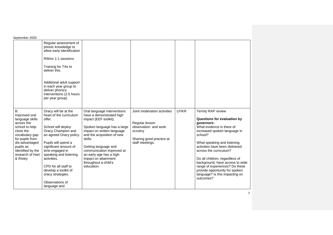| September 2020                                                                                                                                                                                               |                                                                                                                                                                                                                                                                                                                                                      |                                                                                                                                                                                                                                                                                                                                      |                                                                                                                                  |       |                                                                                                                                                                                                                                                                                                                                                                                                                           |
|--------------------------------------------------------------------------------------------------------------------------------------------------------------------------------------------------------------|------------------------------------------------------------------------------------------------------------------------------------------------------------------------------------------------------------------------------------------------------------------------------------------------------------------------------------------------------|--------------------------------------------------------------------------------------------------------------------------------------------------------------------------------------------------------------------------------------------------------------------------------------------------------------------------------------|----------------------------------------------------------------------------------------------------------------------------------|-------|---------------------------------------------------------------------------------------------------------------------------------------------------------------------------------------------------------------------------------------------------------------------------------------------------------------------------------------------------------------------------------------------------------------------------|
|                                                                                                                                                                                                              | Regular assessment of<br>phonic knowledge to<br>allow early identification<br>RWinc 1:1 sessions<br>Training for TAs to<br>deliver this.<br>Additional adult support<br>in each year group to<br>deliver phonics<br>interventions (2.5 hours<br>per year group)                                                                                      |                                                                                                                                                                                                                                                                                                                                      |                                                                                                                                  |       |                                                                                                                                                                                                                                                                                                                                                                                                                           |
| B:<br>Improved oral<br>language skills<br>across the<br>school to help<br>close the<br>vocabulary gap<br>for pupils from<br>dis-advantaged<br>pupils as<br>identified by the<br>research of Hart<br>& Risley | Oracy will be at the<br>heart of the curriculum<br>offer.<br>School will deploy<br>Oracy Champion and<br>an agreed Oracy policy.<br>Pupils will spend a<br>significant amount of<br>time engaged in<br>speaking and listening<br>activities.<br>CPD for all staff to<br>develop a toolkit of<br>oracy strategies.<br>Observations of<br>language and | Oral language interventions<br>have a demonstrated high<br>impact (EEF toolkit).<br>Spoken language has a large<br>impact on written language<br>and the acquisition of new<br>skills.<br>Getting language and<br>communication improved at<br>an early age has a high<br>impact on attainment<br>throughout a child's<br>education. | Joint moderation activities<br>Regular lesson<br>observation and work<br>scrutiny<br>Sharing good practice at<br>staff meetings. | LF/KR | Termly RAP review<br>Questions for evaluation by<br>governors:<br>What evidence is there of<br>increased spoken language in<br>school?<br>What speaking and listening<br>activities have been delivered<br>across the curriculum?<br>Do all children, regardless of<br>background, have access to wide<br>range of experiences? Do these<br>provide opportunity for spoken<br>language? Is this impacting on<br>outcomes? |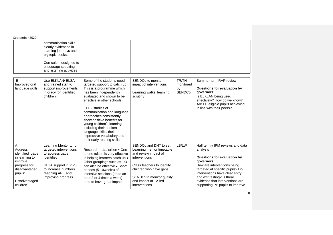| September 2020                                                                                                                            |                                                                                                                                                                            |                                                                                                                                                                                                                                                                                                                                                                                                                                       |                                                                                                                                                                                                                           |                                           |                                                                                                                                                                                                                                                                                                   |  |
|-------------------------------------------------------------------------------------------------------------------------------------------|----------------------------------------------------------------------------------------------------------------------------------------------------------------------------|---------------------------------------------------------------------------------------------------------------------------------------------------------------------------------------------------------------------------------------------------------------------------------------------------------------------------------------------------------------------------------------------------------------------------------------|---------------------------------------------------------------------------------------------------------------------------------------------------------------------------------------------------------------------------|-------------------------------------------|---------------------------------------------------------------------------------------------------------------------------------------------------------------------------------------------------------------------------------------------------------------------------------------------------|--|
|                                                                                                                                           | communication skills<br>clearly evidenced in<br>learning journeys and<br>big topic books.<br>Curriculum designed to<br>encourage speaking<br>and listening activities      |                                                                                                                                                                                                                                                                                                                                                                                                                                       |                                                                                                                                                                                                                           |                                           |                                                                                                                                                                                                                                                                                                   |  |
| B<br>Improved oral<br>language skills                                                                                                     | Use ELKLAN/ ELSA<br>and trained staff to<br>support improvements<br>in oracy for identified<br>children.                                                                   | Some of the students need<br>targeted support to catch up.<br>This is a programme which<br>has been independently<br>evaluated and shown to be<br>effective in other schools.<br>EEF - studies of<br>communication and language<br>approaches consistently<br>show positive benefits for<br>young children's learning,<br>including their spoken<br>language skills, their<br>expressive vocabulary and<br>their early reading skills | SENDCo to monitor<br>impact of interventions.<br>Learning walks, learning<br>scrutiny                                                                                                                                     | TR/TH<br>monitored<br>by<br><b>SENDCo</b> | Summer term RAP review<br><b>Questions for evaluation by</b><br>governors:<br>Is ELKLAN being used<br>effectively? How do we know?<br>Are PP eligible pupils achieving<br>in line with their peers?                                                                                               |  |
| $A$ :<br>Address<br>identified gaps<br>in learning to<br>improve<br>progress for<br>disadvantaged<br>pupils:<br>Disadvantaged<br>children | Learning Mentor to run<br>targeted interventions<br>to address gaps<br>identified<br>HLTA support in Y5/6<br>to increase numbers<br>reaching ARE and<br>improving progress | Research $-1:1$ tuition $\bullet$ One<br>to one tuition is very effective<br>in helping learners catch up .<br>Other groupings such as 1:3<br>can also be effective . Short<br>periods (5-10weeks) of<br>intensive sessions (up to an<br>hour 3 or 4 times a week)<br>tend to have great impact.                                                                                                                                      | SENDCo and DHT to set<br>Learning mentor timetable<br>and review impact of<br>interventions<br>Class teachers to identify<br>children who have gaps<br>SENDco to monitor quality<br>and impact of TA led<br>interventions | LB/LW                                     | Half termly IPM reviews and data<br>analysis<br>Questions for evaluation by<br>qovernors:<br>How are interventions being<br>targeted at specific pupils? Do<br>interventions have clear entry<br>and exit testing? Is there<br>evidence that interventions are<br>supporting PP pupils to improve |  |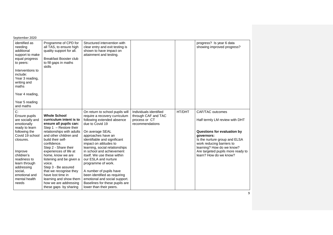| September 2020                                                                                                                                                                                                                                          |                                                                                                                                                                                                                                                                                                                                                                                                                                                                |                                                                                                                                                                                                                                                                                                                                                                                                                                                                                                                           |                                                                                   |        |                                                                                                                                                                                                                                                           |
|---------------------------------------------------------------------------------------------------------------------------------------------------------------------------------------------------------------------------------------------------------|----------------------------------------------------------------------------------------------------------------------------------------------------------------------------------------------------------------------------------------------------------------------------------------------------------------------------------------------------------------------------------------------------------------------------------------------------------------|---------------------------------------------------------------------------------------------------------------------------------------------------------------------------------------------------------------------------------------------------------------------------------------------------------------------------------------------------------------------------------------------------------------------------------------------------------------------------------------------------------------------------|-----------------------------------------------------------------------------------|--------|-----------------------------------------------------------------------------------------------------------------------------------------------------------------------------------------------------------------------------------------------------------|
| identified as<br>needing<br>additional<br>support to make<br>equal progress<br>to peers:<br>Interventions to<br>include:<br>Year 3 reading,<br>writing and<br>maths<br>Year 4 reading,<br>Year 5 reading<br>and maths                                   | Programme of CPD for<br>all TAS, to ensure high<br>quality support for all.<br><b>Breakfast Booster club</b><br>to fill gaps in maths<br>skills                                                                                                                                                                                                                                                                                                                | Structured intervention with<br>clear entry and exit testing is<br>shown to have impact on<br>attainment and testing.                                                                                                                                                                                                                                                                                                                                                                                                     |                                                                                   |        | progress? Is year 6 data<br>showing improved progress?                                                                                                                                                                                                    |
| C:<br>Ensure pupils<br>are socially and<br>emotionally<br>ready to learn<br>following the<br>Covid 19 school<br>closures.<br>Improve<br>children's<br>readiness to<br>learn through<br>addressing<br>social,<br>emotional and<br>mental health<br>needs | <b>Whole School</b><br>curriculum intent is to<br>ensure all pupils can:<br>Step $1 -$ Restore their<br>relationships with adults<br>and other children and<br>build their self-<br>confidence.<br>Step 2 - Share their<br>experiences of life at<br>home, know we are<br>listening and be given a<br>voice.<br>Step 3 - Be assured<br>that we recognise they<br>have lost time in<br>learning and show them<br>how we are addressing<br>these gaps by sharing | On return to school pupils will<br>require a recovery curriculum<br>following extended absence<br>due to Covid 19<br>On average SEAL<br>approaches have an<br>identifiable and significant<br>impact on attitudes to<br>learning, social relationships<br>in school and achievement<br>itself. We use these within<br>our ESLA and nurture<br>programme of work.<br>A number of pupils have<br>been identified as requiring<br>emotional and social support.<br>Baselines for these pupils are<br>lower than their peers. | Individuals identified<br>through CAF and TAC<br>process or CT<br>recommendations | HT/DHT | CAF/TAC outcomes<br>Half termly LM review with DHT<br>Questions for evaluation by<br>qovernors:<br>Is the nurture group and ELSA<br>work reducing barriers to<br>learning? How do we know?<br>Are targeted pupils more ready to<br>learn? How do we know? |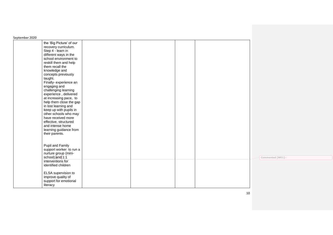| September 2020                                                                                                                                                                                                                                                                                                                                                                                                                                                                                                                                                   |  |  |                    |
|------------------------------------------------------------------------------------------------------------------------------------------------------------------------------------------------------------------------------------------------------------------------------------------------------------------------------------------------------------------------------------------------------------------------------------------------------------------------------------------------------------------------------------------------------------------|--|--|--------------------|
| the 'Big Picture' of our<br>recovery curriculum.<br>Step 4 - learn in<br>different ways in the<br>school environment to<br>reskill them and help<br>them recall the<br>knowledge and<br>concepts previously<br>taught.<br>Finally- experience an<br>engaging and<br>challenging learning<br>experience, delivered<br>at increasing pace, to<br>help them close the gap<br>in lost learning and<br>keep up with pupils in<br>other schools who may<br>have received more<br>effective, structured<br>and intense home<br>learning guidance from<br>their parents. |  |  |                    |
| Pupil and Family<br>support worker to run a<br>nurture group (mini-<br>school) and 1:1<br>interventions for<br>identified children                                                                                                                                                                                                                                                                                                                                                                                                                               |  |  | Commented [WE1]: i |
| ELSA supervision to<br>improve quality of<br>support for emotional<br>literacy                                                                                                                                                                                                                                                                                                                                                                                                                                                                                   |  |  |                    |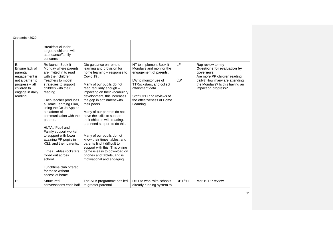| September 2020                                                                                                                       |                                                                                                                                                                                                                                                                                                                                                                                                                                                                                                                                                                               |                                                                                                                                                                                                                                                                                                                                                                                                                                                                                                                                                                                                                              |                                                                                                                                                                                                                            |          |                                                                                                                                                                                          |  |
|--------------------------------------------------------------------------------------------------------------------------------------|-------------------------------------------------------------------------------------------------------------------------------------------------------------------------------------------------------------------------------------------------------------------------------------------------------------------------------------------------------------------------------------------------------------------------------------------------------------------------------------------------------------------------------------------------------------------------------|------------------------------------------------------------------------------------------------------------------------------------------------------------------------------------------------------------------------------------------------------------------------------------------------------------------------------------------------------------------------------------------------------------------------------------------------------------------------------------------------------------------------------------------------------------------------------------------------------------------------------|----------------------------------------------------------------------------------------------------------------------------------------------------------------------------------------------------------------------------|----------|------------------------------------------------------------------------------------------------------------------------------------------------------------------------------------------|--|
|                                                                                                                                      | Breakfast club for<br>targeted children with<br>attendance/family<br>concerns                                                                                                                                                                                                                                                                                                                                                                                                                                                                                                 |                                                                                                                                                                                                                                                                                                                                                                                                                                                                                                                                                                                                                              |                                                                                                                                                                                                                            |          |                                                                                                                                                                                          |  |
| E:<br>Ensure lack of<br>parental<br>engagement is<br>not a barrier to<br>progress - all<br>children to<br>engage in daily<br>reading | Re-launch Book-it<br>Monday where parents<br>are invited in to read<br>with their children.<br>Teachers to model<br>strategies to support<br>children with their<br>reading.<br>Each teacher produces<br>a Home Learning Plan,<br>using the Do Jo App as<br>a platform of<br>communication with the<br>parents.<br>HLTA / Pupil and<br>Family support worker<br>to support with lower<br>attaining PP pupils in<br>KS2, and their parents.<br><b>Times Tables rockstars</b><br>rolled out across<br>school.<br>Lunchtime club offered<br>for those without<br>access at home. | Dfe guidance on remote<br>learning and provision for<br>home learning – response to<br>Covid 19.<br>Many of our pupils do not<br>read regularly enough -<br>impacting on their vocabulary<br>development, this increases<br>the gap in attainment with<br>their peers.<br>Many of our parents do not<br>have the skills to support<br>their children with reading,<br>and need support to do this.<br>Many of our pupils do not<br>know their times tables, and<br>parents find it difficult to<br>support with this. This online<br>game is easy to download on<br>phones and tablets, and is<br>motivational and engaging. | HT to implement Book it<br>Mondays and monitor the<br>engagement of parents.<br>LW to monitor use of<br>TTRockstars, and collect<br>attainment data.<br>Staff CPD and reviews of<br>the effectiveness of Home<br>Learning. | LF<br>LW | Rap review termly<br>Questions for evaluation by<br>governors:<br>Are more PP children reading<br>daily? How many are attending<br>the Mondays? Is this having an<br>impact on progress? |  |
| E:                                                                                                                                   | Structured<br>conversations each half                                                                                                                                                                                                                                                                                                                                                                                                                                                                                                                                         | The AFA programme has led<br>to greater parental                                                                                                                                                                                                                                                                                                                                                                                                                                                                                                                                                                             | DHT to work with schools<br>already running system to                                                                                                                                                                      | DHT/HT   | Mar 19 PP review                                                                                                                                                                         |  |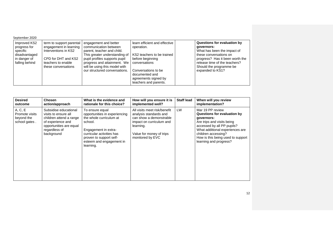| September 2020                                                                              |                                                                                                                                                |                                                                                                                                                                                                                                                 |                                                                                                                                                                                                          |                                                                                                                                                                                                                       |
|---------------------------------------------------------------------------------------------|------------------------------------------------------------------------------------------------------------------------------------------------|-------------------------------------------------------------------------------------------------------------------------------------------------------------------------------------------------------------------------------------------------|----------------------------------------------------------------------------------------------------------------------------------------------------------------------------------------------------------|-----------------------------------------------------------------------------------------------------------------------------------------------------------------------------------------------------------------------|
| Improved KS2<br>progress for<br>specific<br>disadvantaged<br>in danger of<br>falling behind | term to support parental<br>engagement in learning<br>Interventions in KS2<br>CPD for DHT and KS2<br>teachers to enable<br>these conversations | engagement and better<br>communication between<br>parent, teacher and child.<br>This greater understanding of<br>pupil profiles supports pupil<br>progress and attainment. We<br>will be using this model with<br>our structured conversations. | learn efficient and effective<br>operation.<br>KS2 teachers to be trained<br>before beginning<br>conversations<br>Conversations to be<br>documented and<br>agreements signed by<br>teachers and parents. | Questions for evaluation by<br>qovernors:<br>What has been the impact of<br>these conversations on<br>progress? Has it been worth the<br>release time of the teachers?<br>Should the programme be<br>expanded to KS1? |

| <b>Desired</b>                                           | Chosen                                                                                                                                                  | What is the evidence and                                                                                                                                                                                        | How will you ensure it is                                                                                                                                                  | <b>Staff lead</b> | When will you review                                                                                                                                                                                                                               |
|----------------------------------------------------------|---------------------------------------------------------------------------------------------------------------------------------------------------------|-----------------------------------------------------------------------------------------------------------------------------------------------------------------------------------------------------------------|----------------------------------------------------------------------------------------------------------------------------------------------------------------------------|-------------------|----------------------------------------------------------------------------------------------------------------------------------------------------------------------------------------------------------------------------------------------------|
| outcome                                                  | action/approach                                                                                                                                         | rationale for this choice?                                                                                                                                                                                      | implemented well?                                                                                                                                                          |                   | implementation?                                                                                                                                                                                                                                    |
| A, C, E<br>Promote visits<br>beyond the<br>school gates. | Subsidise educational<br>visits to ensure all<br>children attend a range<br>of experience and<br>opportunities are equal<br>regardless of<br>background | To ensure equal<br>opportunities in experiencing<br>the whole curriculum at<br>school.<br>Engagement in extra-<br>curricular activities has<br>proven to support self-<br>esteem and engagement in<br>learning. | All visits meet risk/benefit<br>analysis standards and<br>can show a demonstrable<br>impact on curriculum and<br>learning.<br>Value for money of trips<br>monitored by EVC | <b>LW</b>         | Mar 19 PP review<br>Questions for evaluation by<br>governors:<br>Are trips and visits being<br>accessed by all PP pupils?<br>What additional experiences are<br>children accessing?<br>How is this being used to support<br>learning and progress? |